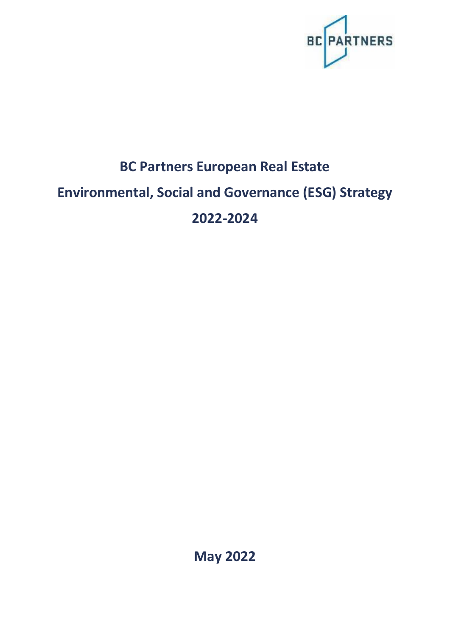

# **BC Partners European Real Estate Environmental, Social and Governance (ESG) Strategy 2022-2024**

**May 2022**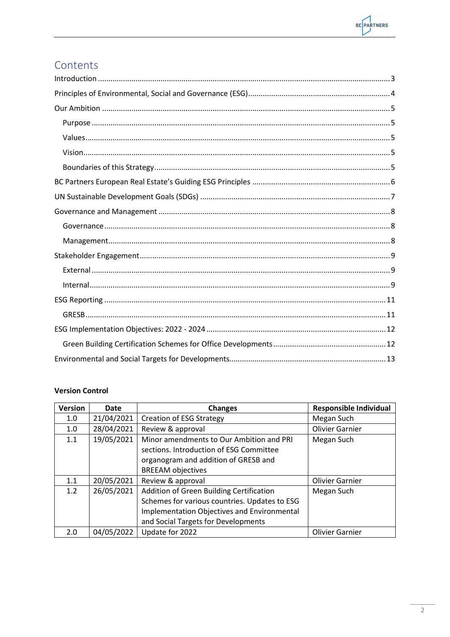

# Contents

### **Version Control**

| <b>Version</b> | <b>Date</b> | <b>Changes</b>                                | <b>Responsible Individual</b> |
|----------------|-------------|-----------------------------------------------|-------------------------------|
| 1.0            | 21/04/2021  | <b>Creation of ESG Strategy</b>               | Megan Such                    |
| 1.0            | 28/04/2021  | Review & approval                             | <b>Olivier Garnier</b>        |
| 1.1            | 19/05/2021  | Minor amendments to Our Ambition and PRI      | Megan Such                    |
|                |             | sections. Introduction of ESG Committee       |                               |
|                |             | organogram and addition of GRESB and          |                               |
|                |             | <b>BREEAM</b> objectives                      |                               |
| 1.1            | 20/05/2021  | Review & approval                             | <b>Olivier Garnier</b>        |
| 1.2            | 26/05/2021  | Addition of Green Building Certification      | Megan Such                    |
|                |             | Schemes for various countries. Updates to ESG |                               |
|                |             | Implementation Objectives and Environmental   |                               |
|                |             | and Social Targets for Developments           |                               |
| 2.0            | 04/05/2022  | Update for 2022                               | <b>Olivier Garnier</b>        |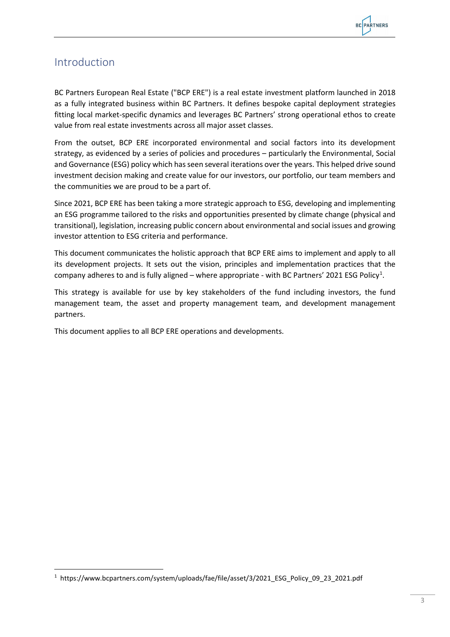### <span id="page-2-0"></span>Introduction

BC Partners European Real Estate ("BCP ERE") is a real estate investment platform launched in 2018 as a fully integrated business within BC Partners. It defines bespoke capital deployment strategies fitting local market-specific dynamics and leverages BC Partners' strong operational ethos to create value from real estate investments across all major asset classes.

From the outset, BCP ERE incorporated environmental and social factors into its development strategy, as evidenced by a series of policies and procedures – particularly the Environmental, Social and Governance (ESG) policy which has seen several iterations over the years. This helped drive sound investment decision making and create value for our investors, our portfolio, our team members and the communities we are proud to be a part of.

Since 2021, BCP ERE has been taking a more strategic approach to ESG, developing and implementing an ESG programme tailored to the risks and opportunities presented by climate change (physical and transitional), legislation, increasing public concern about environmental and social issues and growing investor attention to ESG criteria and performance.

This document communicates the holistic approach that BCP ERE aims to implement and apply to all its development projects. It sets out the vision, principles and implementation practices that the company adheres to and is fully aligned – where appropriate - with BC Partners' 202[1](#page-2-1) ESG Policy<sup>1</sup>.

This strategy is available for use by key stakeholders of the fund including investors, the fund management team, the asset and property management team, and development management partners.

This document applies to all BCP ERE operations and developments.

<span id="page-2-1"></span><sup>&</sup>lt;sup>1</sup> https://www.bcpartners.com/system/uploads/fae/file/asset/3/2021\_ESG\_Policy\_09\_23\_2021.pdf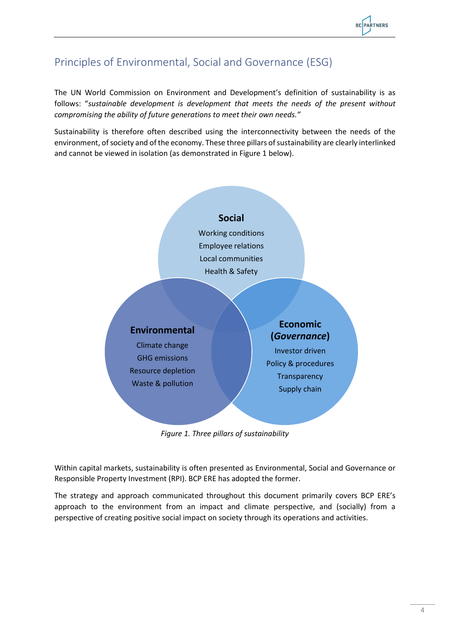# <span id="page-3-0"></span>Principles of Environmental, Social and Governance (ESG)

The UN World Commission on Environment and Development's definition of sustainability is as follows: "*sustainable development is development that meets the needs of the present without compromising the ability of future generations to meet their own needs."* 

Sustainability is therefore often described using the interconnectivity between the needs of the environment, of society and of the economy. These three pillars of sustainability are clearly interlinked and cannot be viewed in isolation (as demonstrated in Figure 1 below).



*Figure 1. Three pillars of sustainability*

Within capital markets, sustainability is often presented as Environmental, Social and Governance or Responsible Property Investment (RPI). BCP ERE has adopted the former.

The strategy and approach communicated throughout this document primarily covers BCP ERE's approach to the environment from an impact and climate perspective, and (socially) from a perspective of creating positive social impact on society through its operations and activities.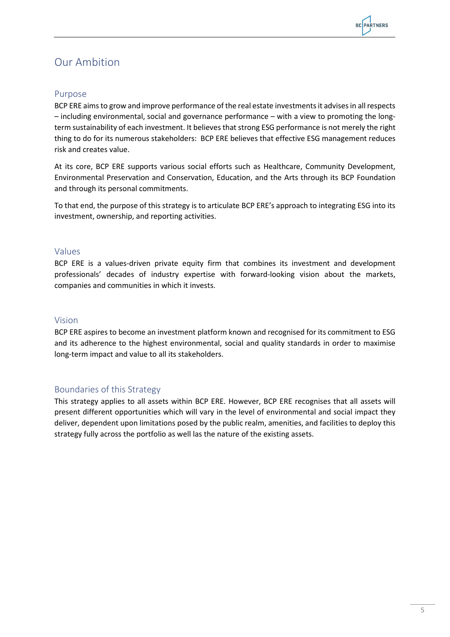### <span id="page-4-0"></span>Our Ambition

### <span id="page-4-1"></span>Purpose

BCP ERE aims to grow and improve performance of the real estate investments it advisesin all respects – including environmental, social and governance performance – with a view to promoting the longterm sustainability of each investment. It believes that strong ESG performance is not merely the right thing to do for its numerous stakeholders: BCP ERE believes that effective ESG management reduces risk and creates value.

At its core, BCP ERE supports various social efforts such as Healthcare, Community Development, Environmental Preservation and Conservation, Education, and the Arts through its BCP Foundation and through its personal commitments.

To that end, the purpose of this strategy is to articulate BCP ERE's approach to integrating ESG into its investment, ownership, and reporting activities.

### <span id="page-4-2"></span>Values

BCP ERE is a values-driven private equity firm that combines its investment and development professionals' decades of industry expertise with forward-looking vision about the markets, companies and communities in which it invests.

### <span id="page-4-3"></span>Vision

BCP ERE aspires to become an investment platform known and recognised for its commitment to ESG and its adherence to the highest environmental, social and quality standards in order to maximise long-term impact and value to all its stakeholders.

### <span id="page-4-4"></span>Boundaries of this Strategy

This strategy applies to all assets within BCP ERE. However, BCP ERE recognises that all assets will present different opportunities which will vary in the level of environmental and social impact they deliver, dependent upon limitations posed by the public realm, amenities, and facilities to deploy this strategy fully across the portfolio as well las the nature of the existing assets.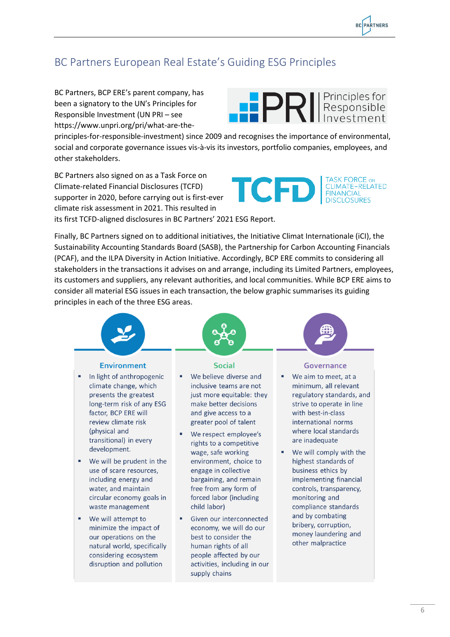**BC PARTNERS** 

# <span id="page-5-0"></span>BC Partners European Real Estate's Guiding ESG Principles

BC Partners, BCP ERE's parent company, has been a signatory to the UN's Principles for Responsible Investment (UN PRI – see https://www.unpri.org/pri/what-are-the-



principles-for-responsible-investment) since 2009 and recognises the importance of environmental, social and corporate governance issues vis-à-vis its investors, portfolio companies, employees, and other stakeholders.

BC Partners also signed on as a Task Force on Climate-related Financial Disclosures (TCFD) supporter in 2020, before carrying out is first-ever climate risk assessment in 2021. This resulted in its first TCFD-aligned disclosures in BC Partners' 2021 ESG Report.



Finally, BC Partners signed on to additional initiatives, the Initiative Climat Internationale (iCI), the Sustainability Accounting Standards Board (SASB), the Partnership for Carbon Accounting Financials (PCAF), and the ILPA Diversity in Action Initiative. Accordingly, BCP ERE commits to considering all stakeholders in the transactions it advises on and arrange, including its Limited Partners, employees, its customers and suppliers, any relevant authorities, and local communities. While BCP ERE aims to consider all material ESG issues in each transaction, the below graphic summarises its guiding principles in each of the three ESG areas.



supply chains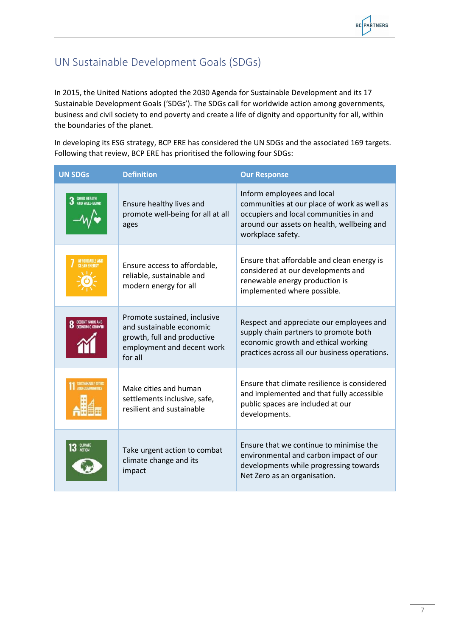# <span id="page-6-0"></span>UN Sustainable Development Goals (SDGs)

In 2015, the United Nations adopted the 2030 Agenda for Sustainable Development and its 17 Sustainable Development Goals ('SDGs'). The SDGs call for worldwide action among governments, business and civil society to end poverty and create a life of dignity and opportunity for all, within the boundaries of the planet.

In developing its ESG strategy, BCP ERE has considered the UN SDGs and the associated 169 targets. Following that review, BCP ERE has prioritised the following four SDGs:

| <b>UN SDGs</b>                      | <b>Definition</b>                                                                                                                | <b>Our Response</b>                                                                                                                                                                    |
|-------------------------------------|----------------------------------------------------------------------------------------------------------------------------------|----------------------------------------------------------------------------------------------------------------------------------------------------------------------------------------|
| <b>GOOD HEALTH</b><br>AND WELL-BEIN | Ensure healthy lives and<br>promote well-being for all at all<br>ages                                                            | Inform employees and local<br>communities at our place of work as well as<br>occupiers and local communities in and<br>around our assets on health, wellbeing and<br>workplace safety. |
|                                     | Ensure access to affordable,<br>reliable, sustainable and<br>modern energy for all                                               | Ensure that affordable and clean energy is<br>considered at our developments and<br>renewable energy production is<br>implemented where possible.                                      |
|                                     | Promote sustained, inclusive<br>and sustainable economic<br>growth, full and productive<br>employment and decent work<br>for all | Respect and appreciate our employees and<br>supply chain partners to promote both<br>economic growth and ethical working<br>practices across all our business operations.              |
|                                     | Make cities and human<br>settlements inclusive, safe,<br>resilient and sustainable                                               | Ensure that climate resilience is considered<br>and implemented and that fully accessible<br>public spaces are included at our<br>developments.                                        |
|                                     | Take urgent action to combat<br>climate change and its<br>impact                                                                 | Ensure that we continue to minimise the<br>environmental and carbon impact of our<br>developments while progressing towards<br>Net Zero as an organisation.                            |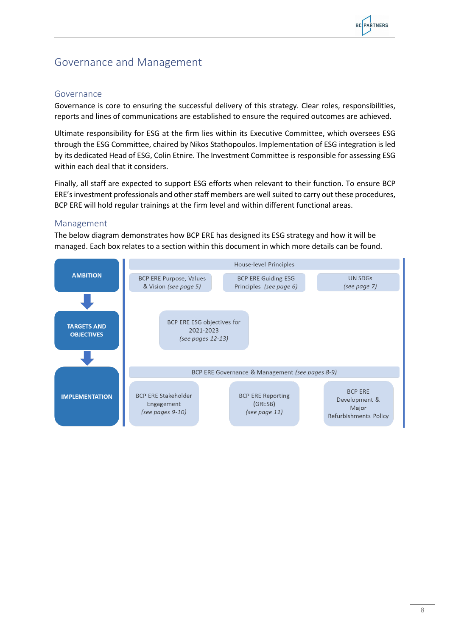### <span id="page-7-0"></span>Governance and Management

### <span id="page-7-1"></span>Governance

Governance is core to ensuring the successful delivery of this strategy. Clear roles, responsibilities, reports and lines of communications are established to ensure the required outcomes are achieved.

Ultimate responsibility for ESG at the firm lies within its Executive Committee, which oversees ESG through the ESG Committee, chaired by Nikos Stathopoulos. Implementation of ESG integration is led by its dedicated Head of ESG, Colin Etnire. The Investment Committee is responsible for assessing ESG within each deal that it considers.

Finally, all staff are expected to support ESG efforts when relevant to their function. To ensure BCP ERE'sinvestment professionals and other staff members are well suited to carry out these procedures, BCP ERE will hold regular trainings at the firm level and within different functional areas.

### <span id="page-7-2"></span>Management

The below diagram demonstrates how BCP ERE has designed its ESG strategy and how it will be managed. Each box relates to a section within this document in which more details can be found.

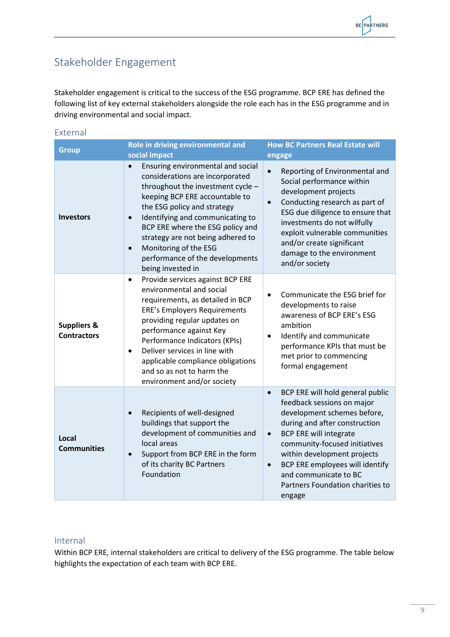# <span id="page-8-0"></span>Stakeholder Engagement

<span id="page-8-1"></span>External

Stakeholder engagement is critical to the success of the ESG programme. BCP ERE has defined the following list of key external stakeholders alongside the role each has in the ESG programme and in driving environmental and social impact.

| <b>Group</b>                                 | Role in driving environmental and<br>social impact                                                                                                                                                                                                                                                                                                                                                              | <b>How BC Partners Real Estate will</b><br>engage                                                                                                                                                                                                                                                                                                                                |
|----------------------------------------------|-----------------------------------------------------------------------------------------------------------------------------------------------------------------------------------------------------------------------------------------------------------------------------------------------------------------------------------------------------------------------------------------------------------------|----------------------------------------------------------------------------------------------------------------------------------------------------------------------------------------------------------------------------------------------------------------------------------------------------------------------------------------------------------------------------------|
| <b>Investors</b>                             | Ensuring environmental and social<br>$\bullet$<br>considerations are incorporated<br>throughout the investment cycle -<br>keeping BCP ERE accountable to<br>the ESG policy and strategy<br>Identifying and communicating to<br>$\bullet$<br>BCP ERE where the ESG policy and<br>strategy are not being adhered to<br>Monitoring of the ESG<br>$\bullet$<br>performance of the developments<br>being invested in | Reporting of Environmental and<br>$\bullet$<br>Social performance within<br>development projects<br>Conducting research as part of<br>$\bullet$<br>ESG due diligence to ensure that<br>investments do not wilfully<br>exploit vulnerable communities<br>and/or create significant<br>damage to the environment<br>and/or society                                                 |
| <b>Suppliers &amp;</b><br><b>Contractors</b> | Provide services against BCP ERE<br>$\bullet$<br>environmental and social<br>requirements, as detailed in BCP<br><b>ERE's Employers Requirements</b><br>providing regular updates on<br>performance against Key<br>Performance Indicators (KPIs)<br>Deliver services in line with<br>$\bullet$<br>applicable compliance obligations<br>and so as not to harm the<br>environment and/or society                  | Communicate the ESG brief for<br>$\bullet$<br>developments to raise<br>awareness of BCP ERE's ESG<br>ambition<br>Identify and communicate<br>$\bullet$<br>performance KPIs that must be<br>met prior to commencing<br>formal engagement                                                                                                                                          |
| Local<br><b>Communities</b>                  | Recipients of well-designed<br>$\bullet$<br>buildings that support the<br>development of communities and<br>local areas<br>Support from BCP ERE in the form<br>$\bullet$<br>of its charity BC Partners<br>Foundation                                                                                                                                                                                            | BCP ERE will hold general public<br>$\bullet$<br>feedback sessions on major<br>development schemes before,<br>during and after construction<br><b>BCP ERE will integrate</b><br>$\bullet$<br>community-focused initiatives<br>within development projects<br>BCP ERE employees will identify<br>$\bullet$<br>and communicate to BC<br>Partners Foundation charities to<br>engage |

### <span id="page-8-2"></span>Internal

Within BCP ERE, internal stakeholders are critical to delivery of the ESG programme. The table below highlights the expectation of each team with BCP ERE.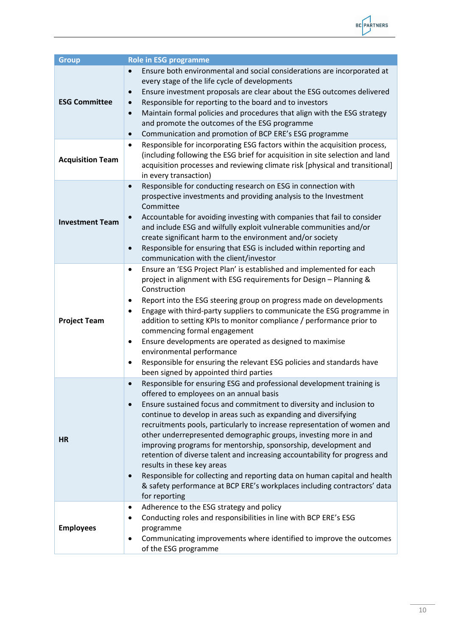

| <b>Group</b>            | <b>Role in ESG programme</b>                                                                                                                                                                                                                                                                                                                                                                                                                                                                                                                                                                                                                                                                                                                                                                               |
|-------------------------|------------------------------------------------------------------------------------------------------------------------------------------------------------------------------------------------------------------------------------------------------------------------------------------------------------------------------------------------------------------------------------------------------------------------------------------------------------------------------------------------------------------------------------------------------------------------------------------------------------------------------------------------------------------------------------------------------------------------------------------------------------------------------------------------------------|
| <b>ESG Committee</b>    | Ensure both environmental and social considerations are incorporated at<br>every stage of the life cycle of developments<br>Ensure investment proposals are clear about the ESG outcomes delivered<br>$\bullet$<br>Responsible for reporting to the board and to investors<br>$\bullet$<br>Maintain formal policies and procedures that align with the ESG strategy<br>$\bullet$<br>and promote the outcomes of the ESG programme<br>Communication and promotion of BCP ERE's ESG programme<br>$\bullet$                                                                                                                                                                                                                                                                                                   |
| <b>Acquisition Team</b> | Responsible for incorporating ESG factors within the acquisition process,<br>$\bullet$<br>(including following the ESG brief for acquisition in site selection and land<br>acquisition processes and reviewing climate risk [physical and transitional]<br>in every transaction)                                                                                                                                                                                                                                                                                                                                                                                                                                                                                                                           |
| <b>Investment Team</b>  | Responsible for conducting research on ESG in connection with<br>$\bullet$<br>prospective investments and providing analysis to the Investment<br>Committee<br>Accountable for avoiding investing with companies that fail to consider<br>$\bullet$<br>and include ESG and wilfully exploit vulnerable communities and/or<br>create significant harm to the environment and/or society<br>Responsible for ensuring that ESG is included within reporting and<br>$\bullet$<br>communication with the client/investor                                                                                                                                                                                                                                                                                        |
| <b>Project Team</b>     | Ensure an 'ESG Project Plan' is established and implemented for each<br>$\bullet$<br>project in alignment with ESG requirements for Design - Planning &<br>Construction<br>Report into the ESG steering group on progress made on developments<br>$\bullet$<br>Engage with third-party suppliers to communicate the ESG programme in<br>$\bullet$<br>addition to setting KPIs to monitor compliance / performance prior to<br>commencing formal engagement<br>Ensure developments are operated as designed to maximise<br>$\bullet$<br>environmental performance<br>Responsible for ensuring the relevant ESG policies and standards have<br>$\bullet$<br>been signed by appointed third parties                                                                                                           |
| <b>HR</b>               | Responsible for ensuring ESG and professional development training is<br>$\bullet$<br>offered to employees on an annual basis<br>Ensure sustained focus and commitment to diversity and inclusion to<br>$\bullet$<br>continue to develop in areas such as expanding and diversifying<br>recruitments pools, particularly to increase representation of women and<br>other underrepresented demographic groups, investing more in and<br>improving programs for mentorship, sponsorship, development and<br>retention of diverse talent and increasing accountability for progress and<br>results in these key areas<br>Responsible for collecting and reporting data on human capital and health<br>$\bullet$<br>& safety performance at BCP ERE's workplaces including contractors' data<br>for reporting |
| <b>Employees</b>        | Adherence to the ESG strategy and policy<br>$\bullet$<br>Conducting roles and responsibilities in line with BCP ERE's ESG<br>$\bullet$<br>programme<br>Communicating improvements where identified to improve the outcomes<br>$\bullet$<br>of the ESG programme                                                                                                                                                                                                                                                                                                                                                                                                                                                                                                                                            |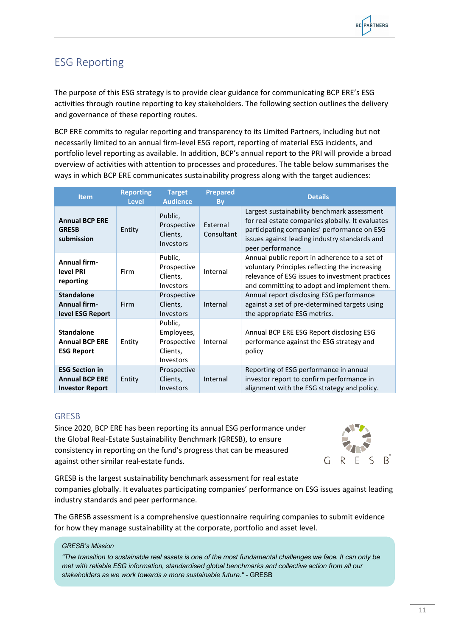# <span id="page-10-0"></span>ESG Reporting

The purpose of this ESG strategy is to provide clear guidance for communicating BCP ERE's ESG activities through routine reporting to key stakeholders. The following section outlines the delivery and governance of these reporting routes.

BCP ERE commits to regular reporting and transparency to its Limited Partners, including but not necessarily limited to an annual firm-level ESG report, reporting of material ESG incidents, and portfolio level reporting as available. In addition, BCP's annual report to the PRI will provide a broad overview of activities with attention to processes and procedures. The table below summarises the ways in which BCP ERE communicates sustainability progress along with the target audiences:

| <b>Item</b>                                                              | <b>Reporting</b><br><b>Level</b> | <b>Target</b><br><b>Audience</b>                              | <b>Prepared</b><br>By  | <b>Details</b>                                                                                                                                                                                                      |
|--------------------------------------------------------------------------|----------------------------------|---------------------------------------------------------------|------------------------|---------------------------------------------------------------------------------------------------------------------------------------------------------------------------------------------------------------------|
| <b>Annual BCP ERE</b><br><b>GRESB</b><br>submission                      | Entity                           | Public,<br>Prospective<br>Clients,<br>Investors               | External<br>Consultant | Largest sustainability benchmark assessment<br>for real estate companies globally. It evaluates<br>participating companies' performance on ESG<br>issues against leading industry standards and<br>peer performance |
| <b>Annual firm-</b><br>level PRI<br>reporting                            | Firm                             | Public,<br>Prospective<br>Clients,<br>Investors               | Internal               | Annual public report in adherence to a set of<br>voluntary Principles reflecting the increasing<br>relevance of ESG issues to investment practices<br>and committing to adopt and implement them.                   |
| <b>Standalone</b><br><b>Annual firm-</b><br>level ESG Report             | Firm                             | Prospective<br>Clients,<br>Investors                          | Internal               | Annual report disclosing ESG performance<br>against a set of pre-determined targets using<br>the appropriate ESG metrics.                                                                                           |
| <b>Standalone</b><br><b>Annual BCP ERE</b><br><b>ESG Report</b>          | Entity                           | Public,<br>Employees,<br>Prospective<br>Clients,<br>Investors | Internal               | Annual BCP ERE ESG Report disclosing ESG<br>performance against the ESG strategy and<br>policy                                                                                                                      |
| <b>ESG Section in</b><br><b>Annual BCP ERE</b><br><b>Investor Report</b> | Entity                           | Prospective<br>Clients,<br>Investors                          | Internal               | Reporting of ESG performance in annual<br>investor report to confirm performance in<br>alignment with the ESG strategy and policy.                                                                                  |

### <span id="page-10-1"></span>GRESB

Since 2020, BCP ERE has been reporting its annual ESG performance under the Global Real-Estate Sustainability Benchmark (GRESB), to ensure consistency in reporting on the fund's progress that can be measured against other similar real-estate funds.



GRESB is the largest sustainability benchmark assessment for real estate companies globally. It evaluates participating companies' performance on ESG issues against leading industry standards and peer performance.

The GRESB assessment is a comprehensive questionnaire requiring companies to submit evidence for how they manage sustainability at the corporate, portfolio and asset level.

#### *GRESB's Mission*

*"The transition to sustainable real assets is one of the most fundamental challenges we face. It can only be met with reliable ESG information, standardised global benchmarks and collective action from all our stakeholders as we work towards a more sustainable future."* - GRESB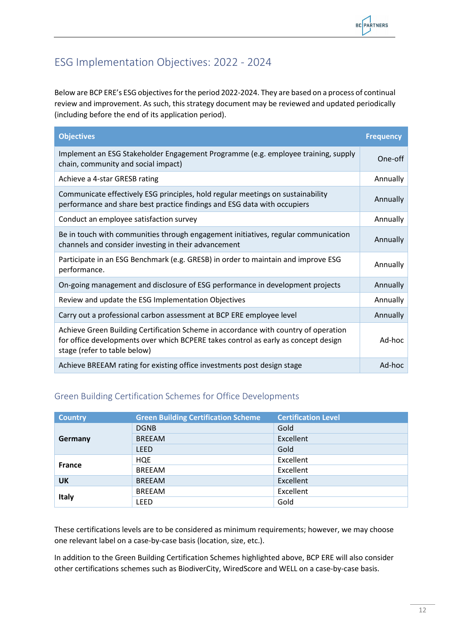# <span id="page-11-0"></span>ESG Implementation Objectives: 2022 - 2024

Below are BCP ERE's ESG objectives for the period 2022-2024. They are based on a process of continual review and improvement. As such, this strategy document may be reviewed and updated periodically (including before the end of its application period).

| <b>Objectives</b>                                                                                                                                                                                         | <b>Frequency</b> |
|-----------------------------------------------------------------------------------------------------------------------------------------------------------------------------------------------------------|------------------|
| Implement an ESG Stakeholder Engagement Programme (e.g. employee training, supply<br>chain, community and social impact)                                                                                  | One-off          |
| Achieve a 4-star GRESB rating                                                                                                                                                                             | Annually         |
| Communicate effectively ESG principles, hold regular meetings on sustainability<br>performance and share best practice findings and ESG data with occupiers                                               | Annually         |
| Conduct an employee satisfaction survey                                                                                                                                                                   | Annually         |
| Be in touch with communities through engagement initiatives, regular communication<br>channels and consider investing in their advancement                                                                | Annually         |
| Participate in an ESG Benchmark (e.g. GRESB) in order to maintain and improve ESG<br>performance.                                                                                                         | Annually         |
| On-going management and disclosure of ESG performance in development projects                                                                                                                             | Annually         |
| Review and update the ESG Implementation Objectives                                                                                                                                                       | Annually         |
| Carry out a professional carbon assessment at BCP ERE employee level                                                                                                                                      | Annually         |
| Achieve Green Building Certification Scheme in accordance with country of operation<br>for office developments over which BCPERE takes control as early as concept design<br>stage (refer to table below) | Ad-hoc           |
| Achieve BREEAM rating for existing office investments post design stage                                                                                                                                   | Ad-hoc           |

### <span id="page-11-1"></span>Green Building Certification Schemes for Office Developments

| <b>Country</b> | <b>Green Building Certification Scheme</b> | <b>Certification Level</b> |
|----------------|--------------------------------------------|----------------------------|
|                | <b>DGNB</b>                                | Gold                       |
| Germany        | <b>BREEAM</b>                              | Excellent                  |
|                | <b>LEED</b>                                | Gold                       |
| <b>France</b>  | <b>HQE</b>                                 | Excellent                  |
|                | <b>BREEAM</b>                              | Excellent                  |
| <b>UK</b>      | <b>BREEAM</b>                              | Excellent                  |
|                | <b>BREEAM</b>                              | Excellent                  |
| Italy          | <b>LEED</b>                                | Gold                       |

These certifications levels are to be considered as minimum requirements; however, we may choose one relevant label on a case-by-case basis (location, size, etc.).

In addition to the Green Building Certification Schemes highlighted above, BCP ERE will also consider other certifications schemes such as BiodiverCity, WiredScore and WELL on a case-by-case basis.